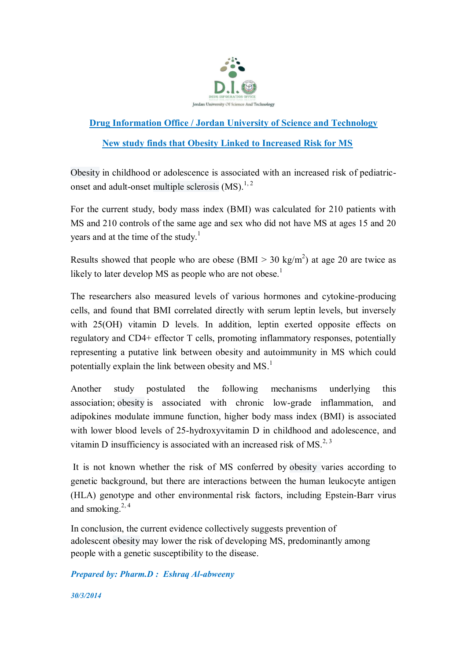

## **Drug Information Office / Jordan University of Science and Technology**

## **New study finds that Obesity Linked to Increased Risk for MS**

Obesity in childhood or adolescence is associated with an increased risk of pediatriconset and adult-onset multiple sclerosis  $(MS)^{1,2}$ 

For the current study, body mass index (BMI) was calculated for 210 patients with MS and 210 controls of the same age and sex who did not have MS at ages 15 and 20 vears and at the time of the study.<sup>1</sup>

Results showed that people who are obese  $(BMI > 30 \text{ kg/m}^2)$  at age 20 are twice as likely to later develop MS as people who are not obese.<sup>1</sup>

The researchers also measured levels of various hormones and cytokine-producing cells, and found that BMI correlated directly with serum leptin levels, but inversely with 25(OH) vitamin D levels. In addition, leptin exerted opposite effects on regulatory and CD4+ effector T cells, promoting inflammatory responses, potentially representing a putative link between obesity and autoimmunity in MS which could potentially explain the link between obesity and MS.<sup>1</sup>

Another study postulated the following mechanisms underlying this association; obesity is associated with chronic low-grade inflammation, and adipokines modulate immune function, higher body mass index (BMI) is associated with lower blood levels of 25-hydroxyvitamin D in childhood and adolescence, and vitamin D insufficiency is associated with an increased risk of MS.<sup>2, 3</sup>

It is not known whether the risk of MS conferred by obesity varies according to genetic background, but there are interactions between the human leukocyte antigen (HLA) genotype and other environmental risk factors, including Epstein-Barr virus and smoking. $2,4$ 

In conclusion, the current evidence collectively suggests prevention of adolescent obesity may lower the risk of developing MS, predominantly among people with a genetic susceptibility to the disease.

*Prepared by: Pharm.D : Eshraq Al-abweeny*

*30/3/2014*